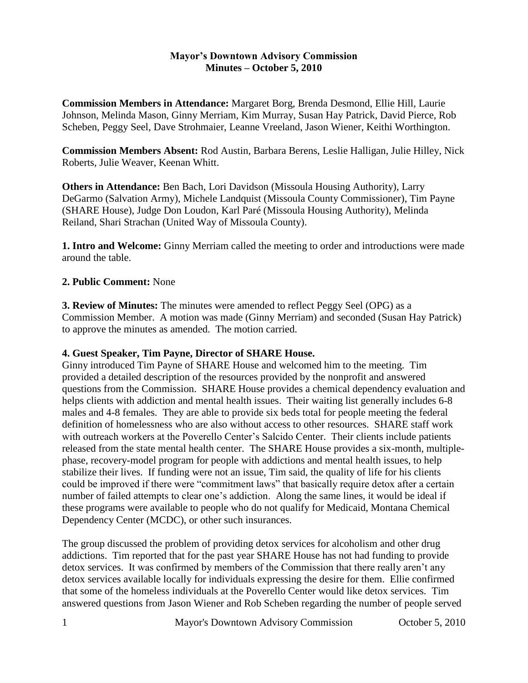## **Mayor's Downtown Advisory Commission Minutes – October 5, 2010**

**Commission Members in Attendance:** Margaret Borg, Brenda Desmond, Ellie Hill, Laurie Johnson, Melinda Mason, Ginny Merriam, Kim Murray, Susan Hay Patrick, David Pierce, Rob Scheben, Peggy Seel, Dave Strohmaier, Leanne Vreeland, Jason Wiener, Keithi Worthington.

**Commission Members Absent:** Rod Austin, Barbara Berens, Leslie Halligan, Julie Hilley, Nick Roberts, Julie Weaver, Keenan Whitt.

**Others in Attendance:** Ben Bach, Lori Davidson (Missoula Housing Authority), Larry DeGarmo (Salvation Army), Michele Landquist (Missoula County Commissioner), Tim Payne (SHARE House), Judge Don Loudon, Karl Paré (Missoula Housing Authority), Melinda Reiland, Shari Strachan (United Way of Missoula County).

**1. Intro and Welcome:** Ginny Merriam called the meeting to order and introductions were made around the table.

## **2. Public Comment:** None

**3. Review of Minutes:** The minutes were amended to reflect Peggy Seel (OPG) as a Commission Member. A motion was made (Ginny Merriam) and seconded (Susan Hay Patrick) to approve the minutes as amended. The motion carried.

### **4. Guest Speaker, Tim Payne, Director of SHARE House.**

Ginny introduced Tim Payne of SHARE House and welcomed him to the meeting. Tim provided a detailed description of the resources provided by the nonprofit and answered questions from the Commission. SHARE House provides a chemical dependency evaluation and helps clients with addiction and mental health issues. Their waiting list generally includes 6-8 males and 4-8 females. They are able to provide six beds total for people meeting the federal definition of homelessness who are also without access to other resources. SHARE staff work with outreach workers at the Poverello Center's Salcido Center. Their clients include patients released from the state mental health center. The SHARE House provides a six-month, multiplephase, recovery-model program for people with addictions and mental health issues, to help stabilize their lives. If funding were not an issue, Tim said, the quality of life for his clients could be improved if there were "commitment laws" that basically require detox after a certain number of failed attempts to clear one's addiction. Along the same lines, it would be ideal if these programs were available to people who do not qualify for Medicaid, Montana Chemical Dependency Center (MCDC), or other such insurances.

The group discussed the problem of providing detox services for alcoholism and other drug addictions. Tim reported that for the past year SHARE House has not had funding to provide detox services. It was confirmed by members of the Commission that there really aren't any detox services available locally for individuals expressing the desire for them. Ellie confirmed that some of the homeless individuals at the Poverello Center would like detox services. Tim answered questions from Jason Wiener and Rob Scheben regarding the number of people served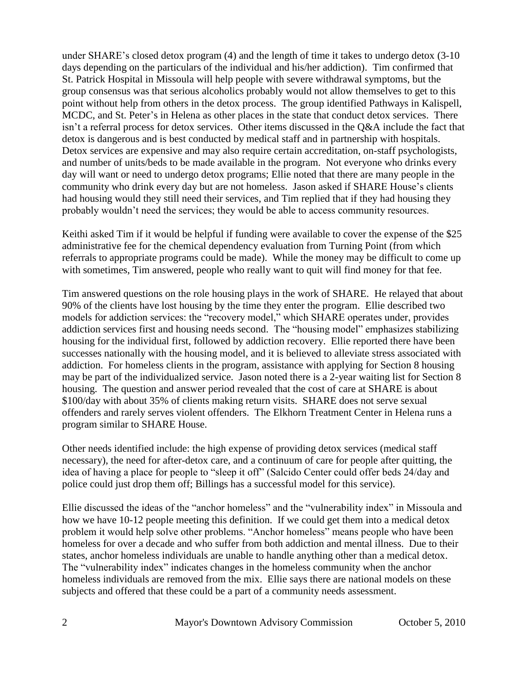under SHARE's closed detox program (4) and the length of time it takes to undergo detox (3-10 days depending on the particulars of the individual and his/her addiction). Tim confirmed that St. Patrick Hospital in Missoula will help people with severe withdrawal symptoms, but the group consensus was that serious alcoholics probably would not allow themselves to get to this point without help from others in the detox process. The group identified Pathways in Kalispell, MCDC, and St. Peter's in Helena as other places in the state that conduct detox services. There isn't a referral process for detox services. Other items discussed in the Q&A include the fact that detox is dangerous and is best conducted by medical staff and in partnership with hospitals. Detox services are expensive and may also require certain accreditation, on-staff psychologists, and number of units/beds to be made available in the program. Not everyone who drinks every day will want or need to undergo detox programs; Ellie noted that there are many people in the community who drink every day but are not homeless. Jason asked if SHARE House's clients had housing would they still need their services, and Tim replied that if they had housing they probably wouldn't need the services; they would be able to access community resources.

Keithi asked Tim if it would be helpful if funding were available to cover the expense of the \$25 administrative fee for the chemical dependency evaluation from Turning Point (from which referrals to appropriate programs could be made). While the money may be difficult to come up with sometimes, Tim answered, people who really want to quit will find money for that fee.

Tim answered questions on the role housing plays in the work of SHARE. He relayed that about 90% of the clients have lost housing by the time they enter the program. Ellie described two models for addiction services: the "recovery model," which SHARE operates under, provides addiction services first and housing needs second. The "housing model" emphasizes stabilizing housing for the individual first, followed by addiction recovery. Ellie reported there have been successes nationally with the housing model, and it is believed to alleviate stress associated with addiction. For homeless clients in the program, assistance with applying for Section 8 housing may be part of the individualized service. Jason noted there is a 2-year waiting list for Section 8 housing. The question and answer period revealed that the cost of care at SHARE is about \$100/day with about 35% of clients making return visits. SHARE does not serve sexual offenders and rarely serves violent offenders. The Elkhorn Treatment Center in Helena runs a program similar to SHARE House.

Other needs identified include: the high expense of providing detox services (medical staff necessary), the need for after-detox care, and a continuum of care for people after quitting, the idea of having a place for people to "sleep it off" (Salcido Center could offer beds 24/day and police could just drop them off; Billings has a successful model for this service).

Ellie discussed the ideas of the "anchor homeless" and the "vulnerability index" in Missoula and how we have 10-12 people meeting this definition. If we could get them into a medical detox problem it would help solve other problems. "Anchor homeless" means people who have been homeless for over a decade and who suffer from both addiction and mental illness. Due to their states, anchor homeless individuals are unable to handle anything other than a medical detox. The "vulnerability index" indicates changes in the homeless community when the anchor homeless individuals are removed from the mix. Ellie says there are national models on these subjects and offered that these could be a part of a community needs assessment.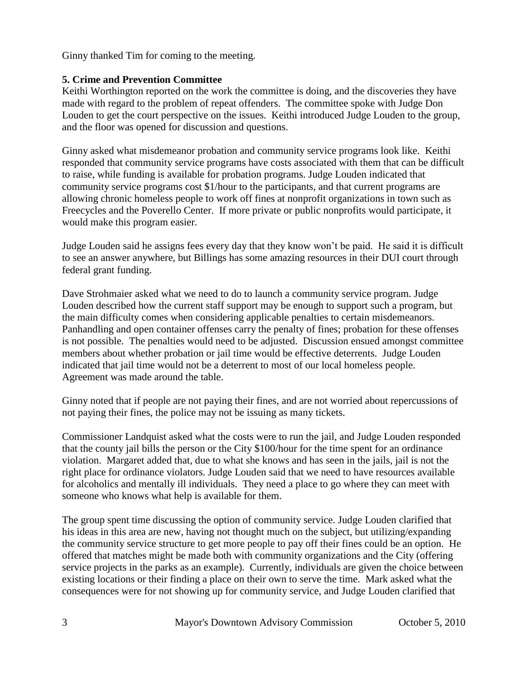Ginny thanked Tim for coming to the meeting.

# **5. Crime and Prevention Committee**

Keithi Worthington reported on the work the committee is doing, and the discoveries they have made with regard to the problem of repeat offenders. The committee spoke with Judge Don Louden to get the court perspective on the issues. Keithi introduced Judge Louden to the group, and the floor was opened for discussion and questions.

Ginny asked what misdemeanor probation and community service programs look like. Keithi responded that community service programs have costs associated with them that can be difficult to raise, while funding is available for probation programs. Judge Louden indicated that community service programs cost \$1/hour to the participants, and that current programs are allowing chronic homeless people to work off fines at nonprofit organizations in town such as Freecycles and the Poverello Center. If more private or public nonprofits would participate, it would make this program easier.

Judge Louden said he assigns fees every day that they know won't be paid. He said it is difficult to see an answer anywhere, but Billings has some amazing resources in their DUI court through federal grant funding.

Dave Strohmaier asked what we need to do to launch a community service program. Judge Louden described how the current staff support may be enough to support such a program, but the main difficulty comes when considering applicable penalties to certain misdemeanors. Panhandling and open container offenses carry the penalty of fines; probation for these offenses is not possible. The penalties would need to be adjusted. Discussion ensued amongst committee members about whether probation or jail time would be effective deterrents. Judge Louden indicated that jail time would not be a deterrent to most of our local homeless people. Agreement was made around the table.

Ginny noted that if people are not paying their fines, and are not worried about repercussions of not paying their fines, the police may not be issuing as many tickets.

Commissioner Landquist asked what the costs were to run the jail, and Judge Louden responded that the county jail bills the person or the City \$100/hour for the time spent for an ordinance violation. Margaret added that, due to what she knows and has seen in the jails, jail is not the right place for ordinance violators. Judge Louden said that we need to have resources available for alcoholics and mentally ill individuals. They need a place to go where they can meet with someone who knows what help is available for them.

The group spent time discussing the option of community service. Judge Louden clarified that his ideas in this area are new, having not thought much on the subject, but utilizing/expanding the community service structure to get more people to pay off their fines could be an option. He offered that matches might be made both with community organizations and the City (offering service projects in the parks as an example). Currently, individuals are given the choice between existing locations or their finding a place on their own to serve the time. Mark asked what the consequences were for not showing up for community service, and Judge Louden clarified that